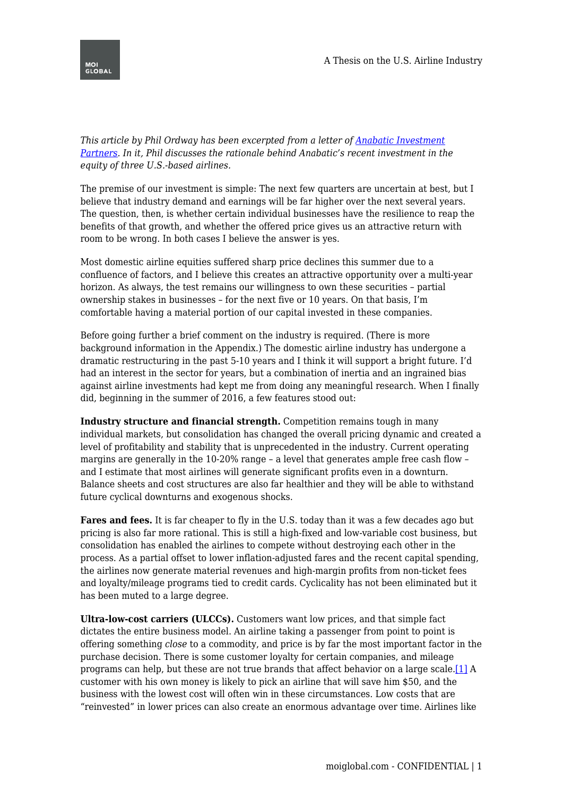

*This article by Phil Ordway has been excerpted from a letter of [Anabatic Investment](http://www.anabaticllc.com/) [Partners](http://www.anabaticllc.com/). In it, Phil discusses the rationale behind Anabatic's recent investment in the equity of three U.S.-based airlines.*

The premise of our investment is simple: The next few quarters are uncertain at best, but I believe that industry demand and earnings will be far higher over the next several years. The question, then, is whether certain individual businesses have the resilience to reap the benefits of that growth, and whether the offered price gives us an attractive return with room to be wrong. In both cases I believe the answer is yes.

Most domestic airline equities suffered sharp price declines this summer due to a confluence of factors, and I believe this creates an attractive opportunity over a multi-year horizon. As always, the test remains our willingness to own these securities – partial ownership stakes in businesses – for the next five or 10 years. On that basis, I'm comfortable having a material portion of our capital invested in these companies.

Before going further a brief comment on the industry is required. (There is more background information in the Appendix.) The domestic airline industry has undergone a dramatic restructuring in the past 5-10 years and I think it will support a bright future. I'd had an interest in the sector for years, but a combination of inertia and an ingrained bias against airline investments had kept me from doing any meaningful research. When I finally did, beginning in the summer of 2016, a few features stood out:

**Industry structure and financial strength.** Competition remains tough in many individual markets, but consolidation has changed the overall pricing dynamic and created a level of profitability and stability that is unprecedented in the industry. Current operating margins are generally in the 10-20% range – a level that generates ample free cash flow – and I estimate that most airlines will generate significant profits even in a downturn. Balance sheets and cost structures are also far healthier and they will be able to withstand future cyclical downturns and exogenous shocks.

**Fares and fees.** It is far cheaper to fly in the U.S. today than it was a few decades ago but pricing is also far more rational. This is still a high-fixed and low-variable cost business, but consolidation has enabled the airlines to compete without destroying each other in the process. As a partial offset to lower inflation-adjusted fares and the recent capital spending, the airlines now generate material revenues and high-margin profits from non-ticket fees and loyalty/mileage programs tied to credit cards. Cyclicality has not been eliminated but it has been muted to a large degree.

<span id="page-0-0"></span>**Ultra-low-cost carriers (ULCCs).** Customers want low prices, and that simple fact dictates the entire business model. An airline taking a passenger from point to point is offering something *close* to a commodity, and price is by far the most important factor in the purchase decision. There is some customer loyalty for certain companies, and mileage programs can help, but these are not true brands that affect behavior on a large scale.[\[1\]](#page-9-0) A customer with his own money is likely to pick an airline that will save him \$50, and the business with the lowest cost will often win in these circumstances. Low costs that are "reinvested" in lower prices can also create an enormous advantage over time. Airlines like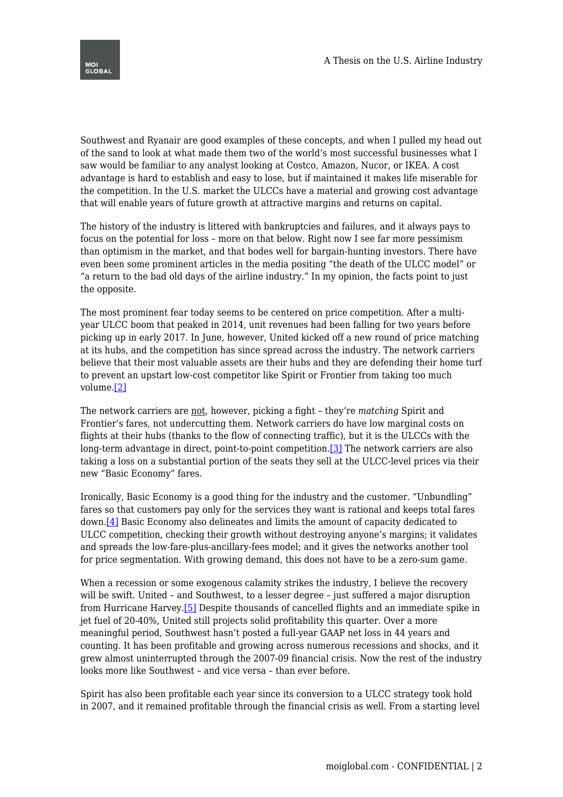Southwest and Ryanair are good examples of these concepts, and when I pulled my head out of the sand to look at what made them two of the world's most successful businesses what I saw would be familiar to any analyst looking at Costco, Amazon, Nucor, or IKEA. A cost advantage is hard to establish and easy to lose, but if maintained it makes life miserable for the competition. In the U.S. market the ULCCs have a material and growing cost advantage that will enable years of future growth at attractive margins and returns on capital.

The history of the industry is littered with bankruptcies and failures, and it always pays to focus on the potential for loss – more on that below. Right now I see far more pessimism than optimism in the market, and that bodes well for bargain-hunting investors. There have even been some prominent articles in the media positing "the death of the ULCC model" or "a return to the bad old days of the airline industry." In my opinion, the facts point to just the opposite.

The most prominent fear today seems to be centered on price competition. After a multiyear ULCC boom that peaked in 2014, unit revenues had been falling for two years before picking up in early 2017. In June, however, United kicked off a new round of price matching at its hubs, and the competition has since spread across the industry. The network carriers believe that their most valuable assets are their hubs and they are defending their home turf to prevent an upstart low-cost competitor like Spirit or Frontier from taking too much volume.[\[2\]](#page-9-1)

<span id="page-1-1"></span><span id="page-1-0"></span>The network carriers are not, however, picking a fight – they're *matching* Spirit and Frontier's fares, not undercutting them. Network carriers do have low marginal costs on flights at their hubs (thanks to the flow of connecting traffic), but it is the ULCCs with the long-term advantage in direct, point-to-point competition[.\[3\]](#page-9-2) The network carriers are also taking a loss on a substantial portion of the seats they sell at the ULCC-level prices via their new "Basic Economy" fares.

<span id="page-1-2"></span>Ironically, Basic Economy is a good thing for the industry and the customer. "Unbundling" fares so that customers pay only for the services they want is rational and keeps total fares down.[\[4\]](#page-9-3) Basic Economy also delineates and limits the amount of capacity dedicated to ULCC competition, checking their growth without destroying anyone's margins; it validates and spreads the low-fare-plus-ancillary-fees model; and it gives the networks another tool for price segmentation. With growing demand, this does not have to be a zero-sum game.

<span id="page-1-3"></span>When a recession or some exogenous calamity strikes the industry, I believe the recovery will be swift. United – and Southwest, to a lesser degree – just suffered a major disruption from Hurricane Harvey.[\[5\]](#page-9-4) Despite thousands of cancelled flights and an immediate spike in jet fuel of 20-40%, United still projects solid profitability this quarter. Over a more meaningful period, Southwest hasn't posted a full-year GAAP net loss in 44 years and counting. It has been profitable and growing across numerous recessions and shocks, and it grew almost uninterrupted through the 2007-09 financial crisis. Now the rest of the industry looks more like Southwest – and vice versa – than ever before.

Spirit has also been profitable each year since its conversion to a ULCC strategy took hold in 2007, and it remained profitable through the financial crisis as well. From a starting level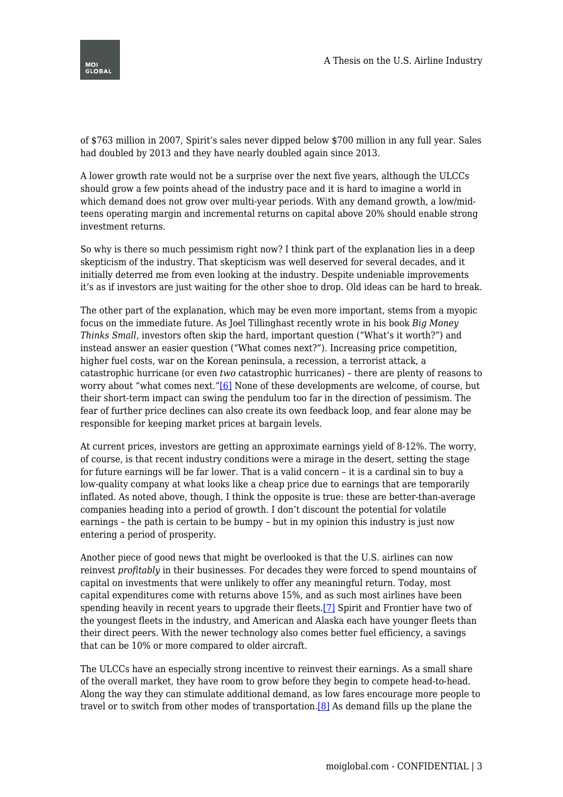of \$763 million in 2007, Spirit's sales never dipped below \$700 million in any full year. Sales had doubled by 2013 and they have nearly doubled again since 2013.

A lower growth rate would not be a surprise over the next five years, although the ULCCs should grow a few points ahead of the industry pace and it is hard to imagine a world in which demand does not grow over multi-year periods. With any demand growth, a low/midteens operating margin and incremental returns on capital above 20% should enable strong investment returns.

So why is there so much pessimism right now? I think part of the explanation lies in a deep skepticism of the industry. That skepticism was well deserved for several decades, and it initially deterred me from even looking at the industry. Despite undeniable improvements it's as if investors are just waiting for the other shoe to drop. Old ideas can be hard to break.

The other part of the explanation, which may be even more important, stems from a myopic focus on the immediate future. As Joel Tillinghast recently wrote in his book *Big Money Thinks Small*, investors often skip the hard, important question ("What's it worth?") and instead answer an easier question ("What comes next?"). Increasing price competition, higher fuel costs, war on the Korean peninsula, a recession, a terrorist attack, a catastrophic hurricane (or even *two* catastrophic hurricanes) – there are plenty of reasons to worry about "what comes next.["\[6\]](#page-9-5) None of these developments are welcome, of course, but their short-term impact can swing the pendulum too far in the direction of pessimism. The fear of further price declines can also create its own feedback loop, and fear alone may be responsible for keeping market prices at bargain levels.

<span id="page-2-0"></span>At current prices, investors are getting an approximate earnings yield of 8-12%. The worry, of course, is that recent industry conditions were a mirage in the desert, setting the stage for future earnings will be far lower. That is a valid concern – it is a cardinal sin to buy a low-quality company at what looks like a cheap price due to earnings that are temporarily inflated. As noted above, though, I think the opposite is true: these are better-than-average companies heading into a period of growth. I don't discount the potential for volatile earnings – the path is certain to be bumpy – but in my opinion this industry is just now entering a period of prosperity.

<span id="page-2-1"></span>Another piece of good news that might be overlooked is that the U.S. airlines can now reinvest *profitably* in their businesses. For decades they were forced to spend mountains of capital on investments that were unlikely to offer any meaningful return. Today, most capital expenditures come with returns above 15%, and as such most airlines have been spending heavily in recent years to upgrade their fleets.[\[7\]](#page-9-6) Spirit and Frontier have two of the youngest fleets in the industry, and American and Alaska each have younger fleets than their direct peers. With the newer technology also comes better fuel efficiency, a savings that can be 10% or more compared to older aircraft.

<span id="page-2-2"></span>The ULCCs have an especially strong incentive to reinvest their earnings. As a small share of the overall market, they have room to grow before they begin to compete head-to-head. Along the way they can stimulate additional demand, as low fares encourage more people to travel or to switch from other modes of transportation.[\[8\]](#page-10-0) As demand fills up the plane the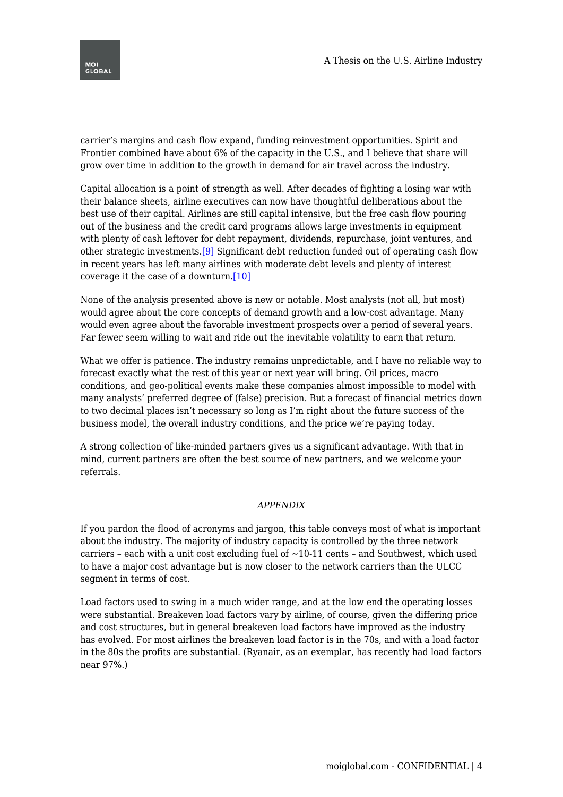

carrier's margins and cash flow expand, funding reinvestment opportunities. Spirit and Frontier combined have about 6% of the capacity in the U.S., and I believe that share will grow over time in addition to the growth in demand for air travel across the industry.

Capital allocation is a point of strength as well. After decades of fighting a losing war with their balance sheets, airline executives can now have thoughtful deliberations about the best use of their capital. Airlines are still capital intensive, but the free cash flow pouring out of the business and the credit card programs allows large investments in equipment with plenty of cash leftover for debt repayment, dividends, repurchase, joint ventures, and other strategic investments.<sup>[\[9\]](#page-10-1)</sup> Significant debt reduction funded out of operating cash flow in recent years has left many airlines with moderate debt levels and plenty of interest coverage it the case of a downturn.[\[10\]](#page-10-2)

<span id="page-3-1"></span><span id="page-3-0"></span>None of the analysis presented above is new or notable. Most analysts (not all, but most) would agree about the core concepts of demand growth and a low-cost advantage. Many would even agree about the favorable investment prospects over a period of several years. Far fewer seem willing to wait and ride out the inevitable volatility to earn that return.

What we offer is patience. The industry remains unpredictable, and I have no reliable way to forecast exactly what the rest of this year or next year will bring. Oil prices, macro conditions, and geo-political events make these companies almost impossible to model with many analysts' preferred degree of (false) precision. But a forecast of financial metrics down to two decimal places isn't necessary so long as I'm right about the future success of the business model, the overall industry conditions, and the price we're paying today.

A strong collection of like-minded partners gives us a significant advantage. With that in mind, current partners are often the best source of new partners, and we welcome your referrals.

### *APPENDIX*

If you pardon the flood of acronyms and jargon, this table conveys most of what is important about the industry. The majority of industry capacity is controlled by the three network carriers - each with a unit cost excluding fuel of  $~10-11$  cents - and Southwest, which used to have a major cost advantage but is now closer to the network carriers than the ULCC segment in terms of cost.

Load factors used to swing in a much wider range, and at the low end the operating losses were substantial. Breakeven load factors vary by airline, of course, given the differing price and cost structures, but in general breakeven load factors have improved as the industry has evolved. For most airlines the breakeven load factor is in the 70s, and with a load factor in the 80s the profits are substantial. (Ryanair, as an exemplar, has recently had load factors near 97%.)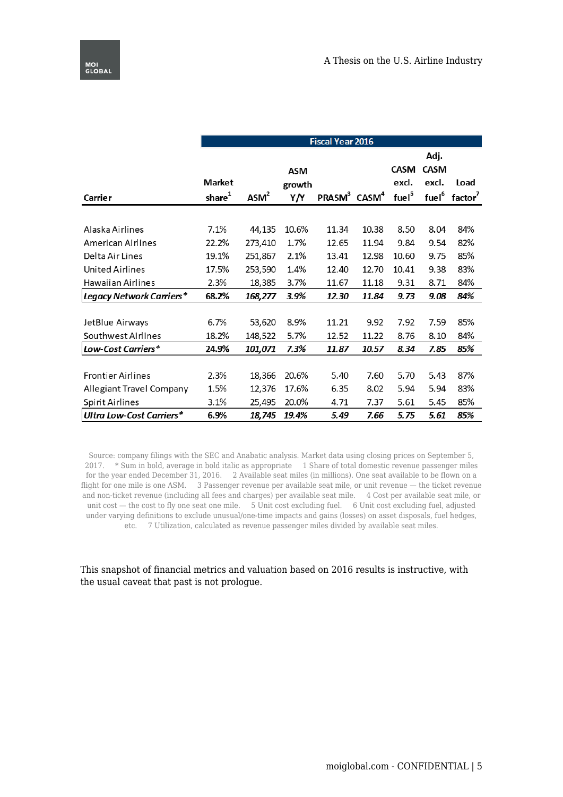|                          |            | <b>Fiscal Year 2016</b> |            |                                      |       |                   |                   |                     |  |
|--------------------------|------------|-------------------------|------------|--------------------------------------|-------|-------------------|-------------------|---------------------|--|
|                          |            |                         |            |                                      |       |                   | Adj.              |                     |  |
|                          |            |                         | <b>ASM</b> |                                      |       | <b>CASM</b>       | <b>CASM</b>       |                     |  |
|                          | Market     |                         | growth     |                                      |       | excl.             | excl.             | Load                |  |
| Carrier                  | share $^1$ | ASM <sup>2</sup>        | Y/Y        | PRASM <sup>3</sup> CASM <sup>4</sup> |       | fuel <sup>5</sup> | fuel <sup>6</sup> | factor <sup>7</sup> |  |
|                          |            |                         |            |                                      |       |                   |                   |                     |  |
| Alaska Airlines          | 7.1%       | 44,135                  | 10.6%      | 11.34                                | 10.38 | 8.50              | 8.04              | 84%                 |  |
| American Airlines        | 22.2%      | 273,410                 | 1.7%       | 12.65                                | 11.94 | 9.84              | 9.54              | 82%                 |  |
| Delta Air Lines          | 19.1%      | 251,867                 | 2.1%       | 13.41                                | 12.98 | 10.60             | 9.75              | 85%                 |  |
| <b>United Airlines</b>   | 17.5%      | 253,590                 | 1.4%       | 12.40                                | 12.70 | 10.41             | 9.38              | 83%                 |  |
| Hawaiian Airlines        | 2.3%       | 18,385                  | 3.7%       | 11.67                                | 11.18 | 9.31              | 8.71              | 84%                 |  |
| Legacy Network Carriers* | 68.2%      | 168,277                 | 3.9%       | 12.30                                | 11.84 | 9.73              | 9.08              | 84%                 |  |
|                          |            |                         |            |                                      |       |                   |                   |                     |  |
| JetBlue Airways          | 6.7%       | 53,620                  | 8.9%       | 11.21                                | 9.92  | 7.92              | 7.59              | 85%                 |  |
| Southwest Airlines       | 18.2%      | 148,522                 | 5.7%       | 12.52                                | 11.22 | 8.76              | 8.10              | 84%                 |  |
| Low-Cost Carriers*       | 24.9%      | 101,071                 | 7.3%       | 11.87                                | 10.57 | 8.34              | 7.85              | 85%                 |  |
|                          |            |                         |            |                                      |       |                   |                   |                     |  |
| <b>Frontier Airlines</b> | 2.3%       | 18,366                  | 20.6%      | 5.40                                 | 7.60  | 5.70              | 5.43              | 87%                 |  |
| Allegiant Travel Company | 1.5%       | 12,376                  | 17.6%      | 6.35                                 | 8.02  | 5.94              | 5.94              | 83%                 |  |
| Spirit Airlines          | 3.1%       | 25,495                  | 20.0%      | 4.71                                 | 7.37  | 5.61              | 5.45              | 85%                 |  |
| Ultra Low-Cost Carriers* | 6.9%       | 18,745                  | 19.4%      | 5.49                                 | 7.66  | 5.75              | 5.61              | 85%                 |  |

Source: company filings with the SEC and Anabatic analysis. Market data using closing prices on September 5, 2017. \* Sum in bold, average in bold italic as appropriate 1 Share of total domestic revenue passenger miles for the year ended December 31, 2016. 2 Available seat miles (in millions). One seat available to be flown on a flight for one mile is one ASM. 3 Passenger revenue per available seat mile, or unit revenue — the ticket revenue and non-ticket revenue (including all fees and charges) per available seat mile. 4 Cost per available seat mile, or unit cost — the cost to fly one seat one mile. 5 Unit cost excluding fuel. 6 Unit cost excluding fuel, adjusted under varying definitions to exclude unusual/one-time impacts and gains (losses) on asset disposals, fuel hedges, etc. 7 Utilization, calculated as revenue passenger miles divided by available seat miles.

### This snapshot of financial metrics and valuation based on 2016 results is instructive, with the usual caveat that past is not prologue.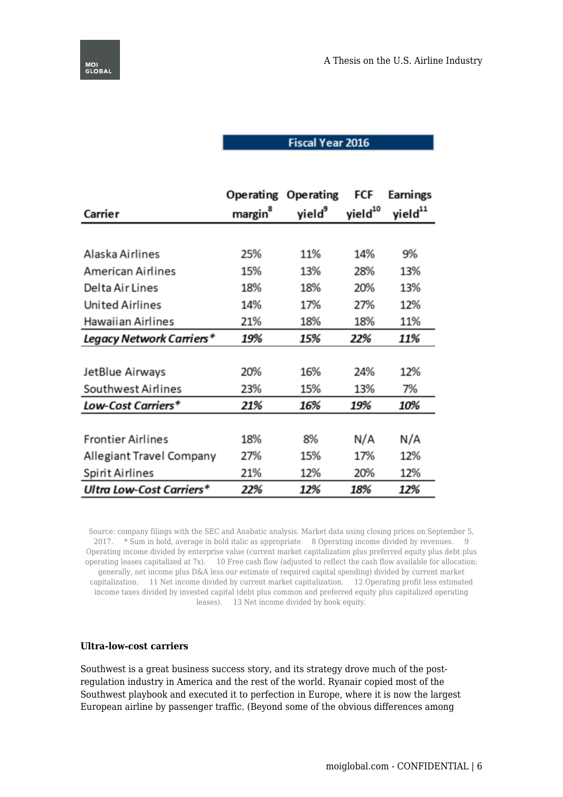# **Fiscal Year 2016**

|                                 | <b>Operating</b>    | <b>Operating</b>   | FCF                 | Earnings            |
|---------------------------------|---------------------|--------------------|---------------------|---------------------|
| Carrier                         | margin <sup>8</sup> | yield <sup>9</sup> | yield <sup>10</sup> | yield <sup>11</sup> |
|                                 |                     |                    |                     |                     |
| Alaska Airlines                 | 25%                 | 11%                | 14%                 | 9%                  |
| <b>American Airlines</b>        | 15%                 | 13%                | 28%                 | 13%                 |
| Delta Air Lines                 | 18%                 | 18%                | 20%                 | 13%                 |
| <b>United Airlines</b>          | 14%                 | 17%                | 27%                 | 12%                 |
| Hawaiian Airlines               | 21%                 | 18%                | 18%                 | 11%                 |
| Legacy Network Carriers*        | 19%                 | 15%                | 22%                 | 11%                 |
|                                 |                     |                    |                     |                     |
| JetBlue Airways                 | 20%                 | 16%                | 24%                 | 12%                 |
| Southwest Airlines              | 23%                 | 15%                | 13%                 | 7%                  |
| Low-Cost Carriers*              | 21%                 | 16%                | 19%                 | 10%                 |
|                                 |                     |                    |                     |                     |
| <b>Frontier Airlines</b>        | 18%                 | 8%                 | N/A                 | N/A                 |
| Allegiant Travel Company        | 27%                 | 15%                | 17%                 | 12%                 |
| Spirit Airlines                 | 21%                 | 12%                | 20%                 | 12%                 |
| <b>Ultra Low-Cost Carriers*</b> | 22%                 | 12%                | 18%                 | 12%                 |

Source: company filings with the SEC and Anabatic analysis. Market data using closing prices on September 5, 2017. \* Sum in bold, average in bold italic as appropriate 8 Operating income divided by revenues. 9 Operating income divided by enterprise value (current market capitalization plus preferred equity plus debt plus operating leases capitalized at 7x). 10 Free cash flow (adjusted to reflect the cash flow available for allocation: generally, net income plus D&A less our estimate of required capital spending) divided by current market capitalization. 11 Net income divided by current market capitalization. 12 Operating profit less estimated income taxes divided by invested capital (debt plus common and preferred equity plus capitalized operating leases). 13 Net income divided by book equity.

#### **Ultra-low-cost carriers**

Southwest is a great business success story, and its strategy drove much of the postregulation industry in America and the rest of the world. Ryanair copied most of the Southwest playbook and executed it to perfection in Europe, where it is now the largest European airline by passenger traffic. (Beyond some of the obvious differences among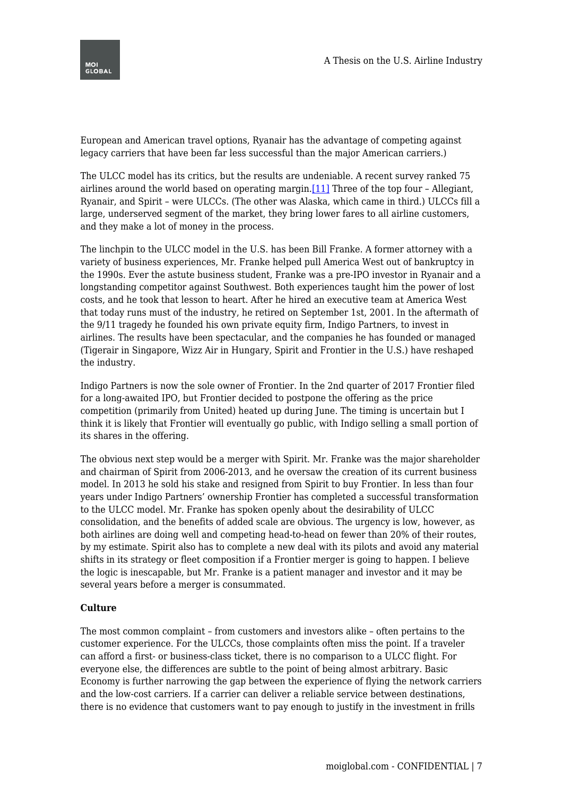

European and American travel options, Ryanair has the advantage of competing against legacy carriers that have been far less successful than the major American carriers.)

<span id="page-6-0"></span>The ULCC model has its critics, but the results are undeniable. A recent survey ranked 75 airlines around the world based on operating margin[.\[11\]](#page-10-3) Three of the top four – Allegiant, Ryanair, and Spirit – were ULCCs. (The other was Alaska, which came in third.) ULCCs fill a large, underserved segment of the market, they bring lower fares to all airline customers, and they make a lot of money in the process.

The linchpin to the ULCC model in the U.S. has been Bill Franke. A former attorney with a variety of business experiences, Mr. Franke helped pull America West out of bankruptcy in the 1990s. Ever the astute business student, Franke was a pre-IPO investor in Ryanair and a longstanding competitor against Southwest. Both experiences taught him the power of lost costs, and he took that lesson to heart. After he hired an executive team at America West that today runs must of the industry, he retired on September 1st, 2001. In the aftermath of the 9/11 tragedy he founded his own private equity firm, Indigo Partners, to invest in airlines. The results have been spectacular, and the companies he has founded or managed (Tigerair in Singapore, Wizz Air in Hungary, Spirit and Frontier in the U.S.) have reshaped the industry.

Indigo Partners is now the sole owner of Frontier. In the 2nd quarter of 2017 Frontier filed for a long-awaited IPO, but Frontier decided to postpone the offering as the price competition (primarily from United) heated up during June. The timing is uncertain but I think it is likely that Frontier will eventually go public, with Indigo selling a small portion of its shares in the offering.

The obvious next step would be a merger with Spirit. Mr. Franke was the major shareholder and chairman of Spirit from 2006-2013, and he oversaw the creation of its current business model. In 2013 he sold his stake and resigned from Spirit to buy Frontier. In less than four years under Indigo Partners' ownership Frontier has completed a successful transformation to the ULCC model. Mr. Franke has spoken openly about the desirability of ULCC consolidation, and the benefits of added scale are obvious. The urgency is low, however, as both airlines are doing well and competing head-to-head on fewer than 20% of their routes, by my estimate. Spirit also has to complete a new deal with its pilots and avoid any material shifts in its strategy or fleet composition if a Frontier merger is going to happen. I believe the logic is inescapable, but Mr. Franke is a patient manager and investor and it may be several years before a merger is consummated.

### **Culture**

The most common complaint – from customers and investors alike – often pertains to the customer experience. For the ULCCs, those complaints often miss the point. If a traveler can afford a first- or business-class ticket, there is no comparison to a ULCC flight. For everyone else, the differences are subtle to the point of being almost arbitrary. Basic Economy is further narrowing the gap between the experience of flying the network carriers and the low-cost carriers. If a carrier can deliver a reliable service between destinations, there is no evidence that customers want to pay enough to justify in the investment in frills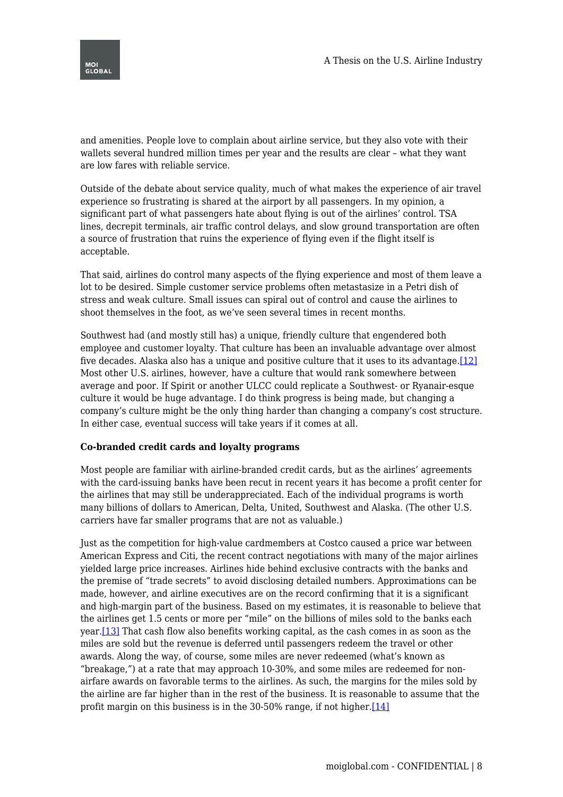

and amenities. People love to complain about airline service, but they also vote with their wallets several hundred million times per year and the results are clear – what they want are low fares with reliable service.

Outside of the debate about service quality, much of what makes the experience of air travel experience so frustrating is shared at the airport by all passengers. In my opinion, a significant part of what passengers hate about flying is out of the airlines' control. TSA lines, decrepit terminals, air traffic control delays, and slow ground transportation are often a source of frustration that ruins the experience of flying even if the flight itself is acceptable.

That said, airlines do control many aspects of the flying experience and most of them leave a lot to be desired. Simple customer service problems often metastasize in a Petri dish of stress and weak culture. Small issues can spiral out of control and cause the airlines to shoot themselves in the foot, as we've seen several times in recent months.

<span id="page-7-0"></span>Southwest had (and mostly still has) a unique, friendly culture that engendered both employee and customer loyalty. That culture has been an invaluable advantage over almost five decades. Alaska also has a unique and positive culture that it uses to its advantage.  $[12]$ Most other U.S. airlines, however, have a culture that would rank somewhere between average and poor. If Spirit or another ULCC could replicate a Southwest- or Ryanair-esque culture it would be huge advantage. I do think progress is being made, but changing a company's culture might be the only thing harder than changing a company's cost structure. In either case, eventual success will take years if it comes at all.

#### **Co-branded credit cards and loyalty programs**

Most people are familiar with airline-branded credit cards, but as the airlines' agreements with the card-issuing banks have been recut in recent years it has become a profit center for the airlines that may still be underappreciated. Each of the individual programs is worth many billions of dollars to American, Delta, United, Southwest and Alaska. (The other U.S. carriers have far smaller programs that are not as valuable.)

<span id="page-7-2"></span><span id="page-7-1"></span>Just as the competition for high-value cardmembers at Costco caused a price war between American Express and Citi, the recent contract negotiations with many of the major airlines yielded large price increases. Airlines hide behind exclusive contracts with the banks and the premise of "trade secrets" to avoid disclosing detailed numbers. Approximations can be made, however, and airline executives are on the record confirming that it is a significant and high-margin part of the business. Based on my estimates, it is reasonable to believe that the airlines get 1.5 cents or more per "mile" on the billions of miles sold to the banks each year.[\[13\]](#page-10-5) That cash flow also benefits working capital, as the cash comes in as soon as the miles are sold but the revenue is deferred until passengers redeem the travel or other awards. Along the way, of course, some miles are never redeemed (what's known as "breakage,") at a rate that may approach 10-30%, and some miles are redeemed for nonairfare awards on favorable terms to the airlines. As such, the margins for the miles sold by the airline are far higher than in the rest of the business. It is reasonable to assume that the profit margin on this business is in the 30-50% range, if not higher[.\[14\]](#page-10-6)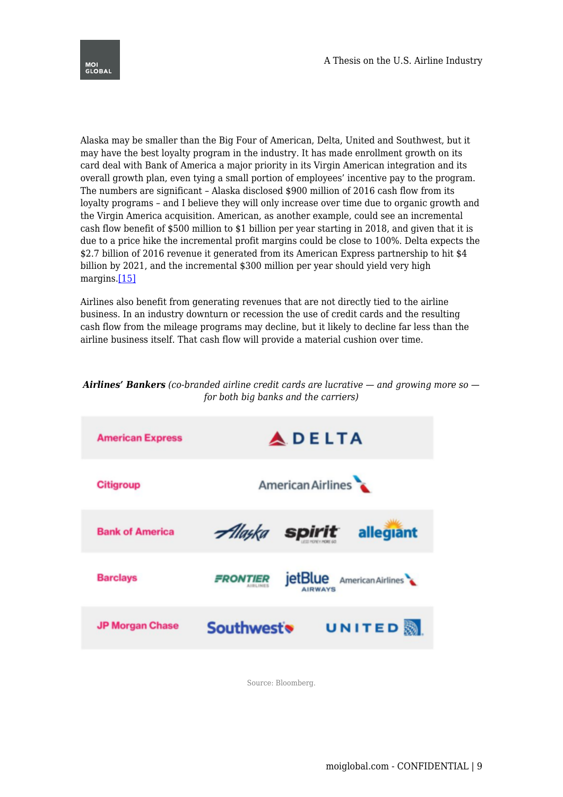

Alaska may be smaller than the Big Four of American, Delta, United and Southwest, but it may have the best loyalty program in the industry. It has made enrollment growth on its card deal with Bank of America a major priority in its Virgin American integration and its overall growth plan, even tying a small portion of employees' incentive pay to the program. The numbers are significant – Alaska disclosed \$900 million of 2016 cash flow from its loyalty programs – and I believe they will only increase over time due to organic growth and the Virgin America acquisition. American, as another example, could see an incremental cash flow benefit of \$500 million to \$1 billion per year starting in 2018, and given that it is due to a price hike the incremental profit margins could be close to 100%. Delta expects the \$2.7 billion of 2016 revenue it generated from its American Express partnership to hit \$4 billion by 2021, and the incremental \$300 million per year should yield very high margins[.\[15\]](#page-10-7)

<span id="page-8-0"></span>Airlines also benefit from generating revenues that are not directly tied to the airline business. In an industry downturn or recession the use of credit cards and the resulting cash flow from the mileage programs may decline, but it likely to decline far less than the airline business itself. That cash flow will provide a material cushion over time.

## *Airlines' Bankers (co-branded airline credit cards are lucrative — and growing more so for both big banks and the carriers)*



Source: Bloomberg.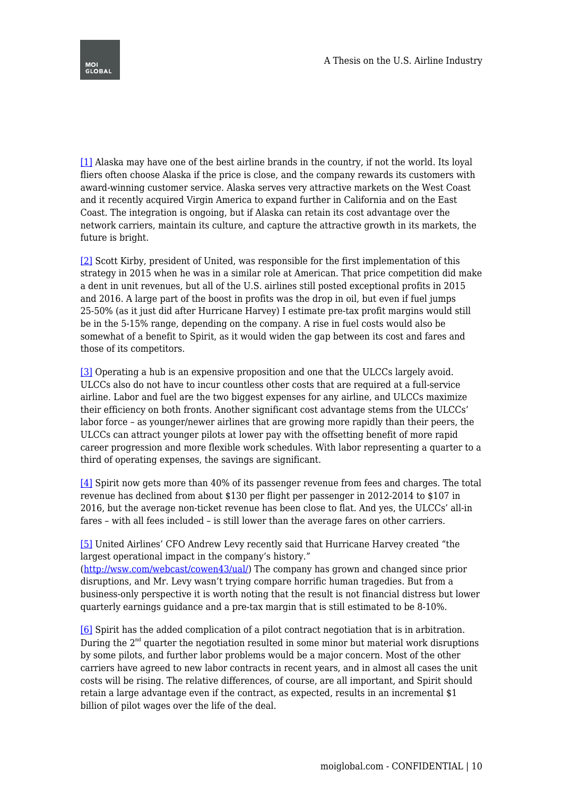<span id="page-9-0"></span>[\[1\]](#page-0-0) Alaska may have one of the best airline brands in the country, if not the world. Its loyal fliers often choose Alaska if the price is close, and the company rewards its customers with award-winning customer service. Alaska serves very attractive markets on the West Coast and it recently acquired Virgin America to expand further in California and on the East Coast. The integration is ongoing, but if Alaska can retain its cost advantage over the network carriers, maintain its culture, and capture the attractive growth in its markets, the future is bright.

<span id="page-9-1"></span>[\[2\]](#page-1-0) Scott Kirby, president of United, was responsible for the first implementation of this strategy in 2015 when he was in a similar role at American. That price competition did make a dent in unit revenues, but all of the U.S. airlines still posted exceptional profits in 2015 and 2016. A large part of the boost in profits was the drop in oil, but even if fuel jumps 25-50% (as it just did after Hurricane Harvey) I estimate pre-tax profit margins would still be in the 5-15% range, depending on the company. A rise in fuel costs would also be somewhat of a benefit to Spirit, as it would widen the gap between its cost and fares and those of its competitors.

<span id="page-9-2"></span>[\[3\]](#page-1-1) Operating a hub is an expensive proposition and one that the ULCCs largely avoid. ULCCs also do not have to incur countless other costs that are required at a full-service airline. Labor and fuel are the two biggest expenses for any airline, and ULCCs maximize their efficiency on both fronts. Another significant cost advantage stems from the ULCCs' labor force – as younger/newer airlines that are growing more rapidly than their peers, the ULCCs can attract younger pilots at lower pay with the offsetting benefit of more rapid career progression and more flexible work schedules. With labor representing a quarter to a third of operating expenses, the savings are significant.

<span id="page-9-3"></span>[\[4\]](#page-1-2) Spirit now gets more than 40% of its passenger revenue from fees and charges. The total revenue has declined from about \$130 per flight per passenger in 2012-2014 to \$107 in 2016, but the average non-ticket revenue has been close to flat. And yes, the ULCCs' all-in fares – with all fees included – is still lower than the average fares on other carriers.

<span id="page-9-4"></span>[\[5\]](#page-1-3) United Airlines' CFO Andrew Levy recently said that Hurricane Harvey created "the largest operational impact in the company's history."

([http://wsw.com/webcast/cowen43/ual/\)](http://wsw.com/webcast/cowen43/ual/) The company has grown and changed since prior disruptions, and Mr. Levy wasn't trying compare horrific human tragedies. But from a business-only perspective it is worth noting that the result is not financial distress but lower quarterly earnings guidance and a pre-tax margin that is still estimated to be 8-10%.

<span id="page-9-6"></span><span id="page-9-5"></span>[\[6\]](#page-2-0) Spirit has the added complication of a pilot contract negotiation that is in arbitration. During the  $2<sup>nd</sup>$  quarter the negotiation resulted in some minor but material work disruptions by some pilots, and further labor problems would be a major concern. Most of the other carriers have agreed to new labor contracts in recent years, and in almost all cases the unit costs will be rising. The relative differences, of course, are all important, and Spirit should retain a large advantage even if the contract, as expected, results in an incremental \$1 billion of pilot wages over the life of the deal.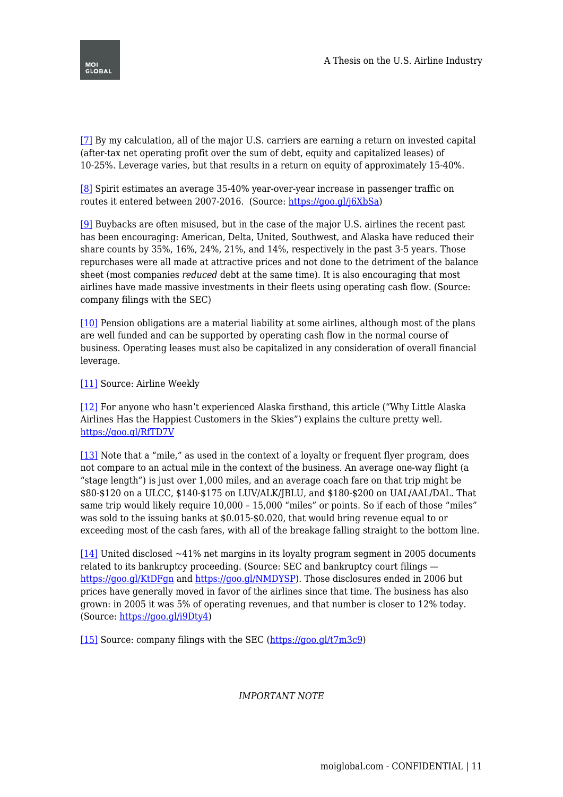[\[7\]](#page-2-1) By my calculation, all of the major U.S. carriers are earning a return on invested capital (after-tax net operating profit over the sum of debt, equity and capitalized leases) of 10-25%. Leverage varies, but that results in a return on equity of approximately 15-40%.

<span id="page-10-0"></span>[\[8\]](#page-2-2) Spirit estimates an average 35-40% year-over-year increase in passenger traffic on routes it entered between 2007-2016. (Source: [https://goo.gl/j6XbSa\)](https://goo.gl/j6XbSa)

<span id="page-10-1"></span>[\[9\]](#page-3-0) Buybacks are often misused, but in the case of the major U.S. airlines the recent past has been encouraging: American, Delta, United, Southwest, and Alaska have reduced their share counts by 35%, 16%, 24%, 21%, and 14%, respectively in the past 3-5 years. Those repurchases were all made at attractive prices and not done to the detriment of the balance sheet (most companies *reduced* debt at the same time). It is also encouraging that most airlines have made massive investments in their fleets using operating cash flow. (Source: company filings with the SEC)

<span id="page-10-2"></span>[\[10\]](#page-3-1) Pension obligations are a material liability at some airlines, although most of the plans are well funded and can be supported by operating cash flow in the normal course of business. Operating leases must also be capitalized in any consideration of overall financial leverage.

<span id="page-10-3"></span>[\[11\]](#page-6-0) Source: Airline Weekly

<span id="page-10-4"></span>[\[12\]](#page-7-0) For anyone who hasn't experienced Alaska firsthand, this article ("Why Little Alaska Airlines Has the Happiest Customers in the Skies") explains the culture pretty well. <https://goo.gl/RfTD7V>

<span id="page-10-5"></span>[\[13\]](#page-7-1) Note that a "mile," as used in the context of a loyalty or frequent flyer program, does not compare to an actual mile in the context of the business. An average one-way flight (a "stage length") is just over 1,000 miles, and an average coach fare on that trip might be \$80-\$120 on a ULCC, \$140-\$175 on LUV/ALK/JBLU, and \$180-\$200 on UAL/AAL/DAL. That same trip would likely require 10,000 – 15,000 "miles" or points. So if each of those "miles" was sold to the issuing banks at \$0.015-\$0.020, that would bring revenue equal to or exceeding most of the cash fares, with all of the breakage falling straight to the bottom line.

<span id="page-10-6"></span>[\[14\]](#page-7-2) United disclosed ~41% net margins in its loyalty program segment in 2005 documents related to its bankruptcy proceeding. (Source: SEC and bankruptcy court filings <https://goo.gl/KtDFgn>and [https://goo.gl/NMDYSP\)](https://goo.gl/NMDYSP). Those disclosures ended in 2006 but prices have generally moved in favor of the airlines since that time. The business has also grown: in 2005 it was 5% of operating revenues, and that number is closer to 12% today. (Source:<https://goo.gl/i9Dty4>)

<span id="page-10-7"></span>[\[15\]](#page-8-0) Source: company filings with the SEC ([https://goo.gl/t7m3c9\)](https://goo.gl/t7m3c9)

*IMPORTANT NOTE*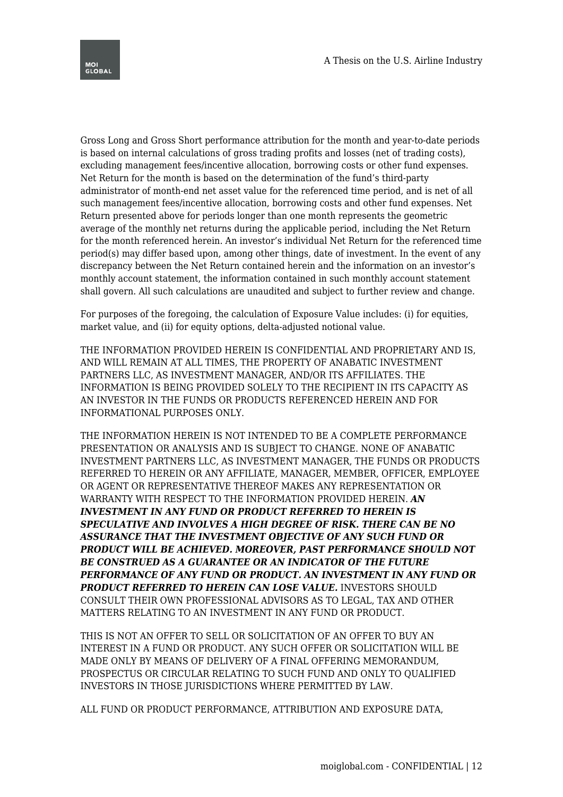

Gross Long and Gross Short performance attribution for the month and year-to-date periods is based on internal calculations of gross trading profits and losses (net of trading costs), excluding management fees/incentive allocation, borrowing costs or other fund expenses. Net Return for the month is based on the determination of the fund's third-party administrator of month-end net asset value for the referenced time period, and is net of all such management fees/incentive allocation, borrowing costs and other fund expenses. Net Return presented above for periods longer than one month represents the geometric average of the monthly net returns during the applicable period, including the Net Return for the month referenced herein. An investor's individual Net Return for the referenced time period(s) may differ based upon, among other things, date of investment. In the event of any discrepancy between the Net Return contained herein and the information on an investor's monthly account statement, the information contained in such monthly account statement shall govern. All such calculations are unaudited and subject to further review and change.

For purposes of the foregoing, the calculation of Exposure Value includes: (i) for equities, market value, and (ii) for equity options, delta-adjusted notional value.

THE INFORMATION PROVIDED HEREIN IS CONFIDENTIAL AND PROPRIETARY AND IS, AND WILL REMAIN AT ALL TIMES, THE PROPERTY OF ANABATIC INVESTMENT PARTNERS LLC, AS INVESTMENT MANAGER, AND/OR ITS AFFILIATES. THE INFORMATION IS BEING PROVIDED SOLELY TO THE RECIPIENT IN ITS CAPACITY AS AN INVESTOR IN THE FUNDS OR PRODUCTS REFERENCED HEREIN AND FOR INFORMATIONAL PURPOSES ONLY.

THE INFORMATION HEREIN IS NOT INTENDED TO BE A COMPLETE PERFORMANCE PRESENTATION OR ANALYSIS AND IS SUBJECT TO CHANGE. NONE OF ANABATIC INVESTMENT PARTNERS LLC, AS INVESTMENT MANAGER, THE FUNDS OR PRODUCTS REFERRED TO HEREIN OR ANY AFFILIATE, MANAGER, MEMBER, OFFICER, EMPLOYEE OR AGENT OR REPRESENTATIVE THEREOF MAKES ANY REPRESENTATION OR WARRANTY WITH RESPECT TO THE INFORMATION PROVIDED HEREIN. *AN INVESTMENT IN ANY FUND OR PRODUCT REFERRED TO HEREIN IS SPECULATIVE AND INVOLVES A HIGH DEGREE OF RISK. THERE CAN BE NO ASSURANCE THAT THE INVESTMENT OBJECTIVE OF ANY SUCH FUND OR PRODUCT WILL BE ACHIEVED. MOREOVER, PAST PERFORMANCE SHOULD NOT BE CONSTRUED AS A GUARANTEE OR AN INDICATOR OF THE FUTURE PERFORMANCE OF ANY FUND OR PRODUCT. AN INVESTMENT IN ANY FUND OR PRODUCT REFERRED TO HEREIN CAN LOSE VALUE.* INVESTORS SHOULD CONSULT THEIR OWN PROFESSIONAL ADVISORS AS TO LEGAL, TAX AND OTHER MATTERS RELATING TO AN INVESTMENT IN ANY FUND OR PRODUCT.

THIS IS NOT AN OFFER TO SELL OR SOLICITATION OF AN OFFER TO BUY AN INTEREST IN A FUND OR PRODUCT. ANY SUCH OFFER OR SOLICITATION WILL BE MADE ONLY BY MEANS OF DELIVERY OF A FINAL OFFERING MEMORANDUM, PROSPECTUS OR CIRCULAR RELATING TO SUCH FUND AND ONLY TO QUALIFIED INVESTORS IN THOSE JURISDICTIONS WHERE PERMITTED BY LAW.

ALL FUND OR PRODUCT PERFORMANCE, ATTRIBUTION AND EXPOSURE DATA,